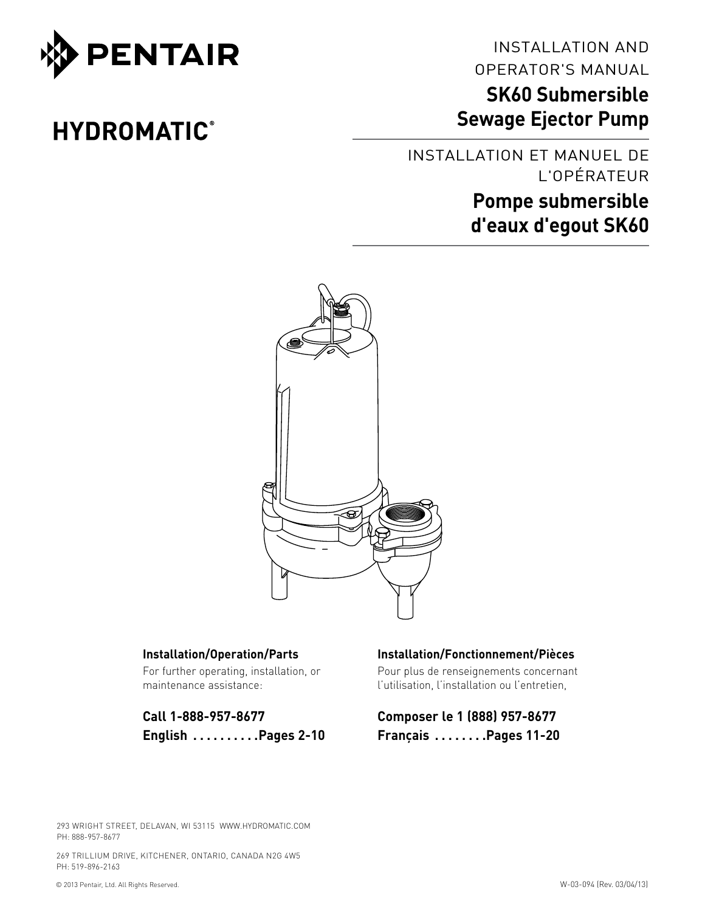

# **HYDROMATIC®**

INSTALLATION AND OPERATOR'S MANUAL

# **SK60 Submersible Sewage Ejector Pump**

Installation et manuel de l'opérateur **Pompe submersible d'eaux d'egout SK60**



#### **Installation/Operation/Parts**

For further operating, installation, or maintenance assistance:

**Call 1-888-957-8677 English . . . . . . . . . Pages 2-10**

### **Installation/Fonctionnement/Pièces**

Pour plus de renseignements concernant l'utilisation, l'installation ou l'entretien,

**Composer le 1 (888) 957-8677 Français . . . . . . . Pages 11-20**

293 WRIGHT STREET, DELAVAN, WI 53115 WWW.HYDROMATIC.COM PH: 888-957-8677

269 TRILLIUM DRIVE, KITCHENER, ONTARIO, CANADA N2G 4W5 PH: 519-896-2163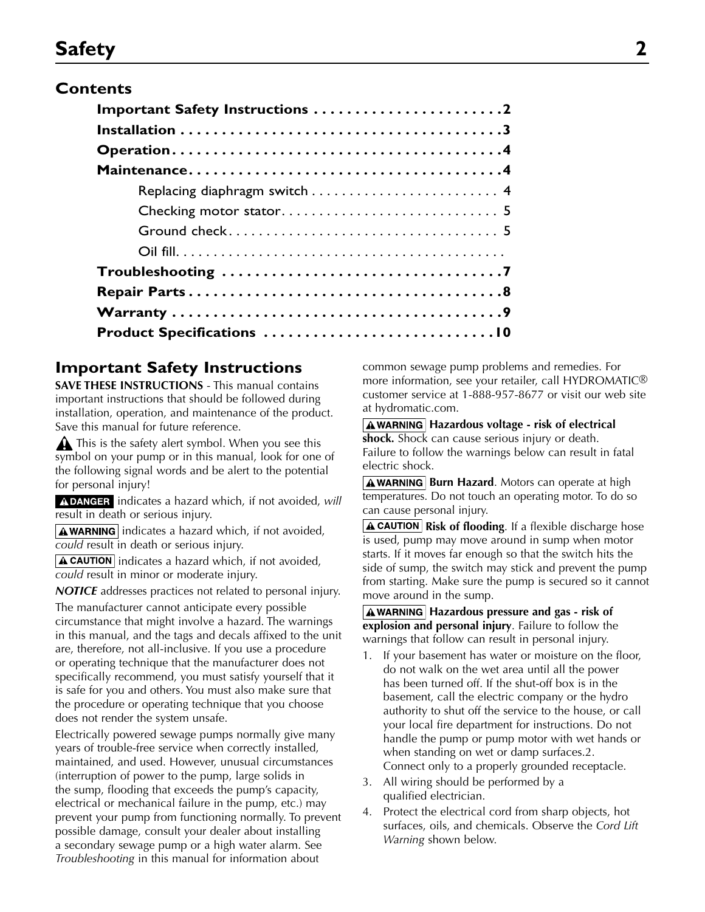# **Safety 2**

## **Contents**

| Important Safety Instructions 2 |
|---------------------------------|
|                                 |
|                                 |
|                                 |
|                                 |
|                                 |
|                                 |
|                                 |
|                                 |
|                                 |
|                                 |
|                                 |

## **Important Safety Instructions**

**SAVE THESE INSTRUCTIONS** - This manual contains important instructions that should be followed during installation, operation, and maintenance of the product. Save this manual for future reference.

This is the safety alert symbol. When you see this symbol on your pump or in this manual, look for one of the following signal words and be alert to the potential for personal injury!

A DANGER indicates a hazard which, if not avoided, will result in death or serious injury.

 $\sqrt{\text{A}$  WARNING indicates a hazard which, if not avoided, *could* result in death or serious injury.

 $\Delta$  CAUTION indicates a hazard which, if not avoided, *could* result in minor or moderate injury.

*NOTICE* addresses practices not related to personal injury.

The manufacturer cannot anticipate every possible circumstance that might involve a hazard. The warnings in this manual, and the tags and decals affixed to the unit are, therefore, not all-inclusive. If you use a procedure or operating technique that the manufacturer does not specifically recommend, you must satisfy yourself that it is safe for you and others. You must also make sure that the procedure or operating technique that you choose does not render the system unsafe.

Electrically powered sewage pumps normally give many years of trouble-free service when correctly installed, maintained, and used. However, unusual circumstances (interruption of power to the pump, large solids in the sump, flooding that exceeds the pump's capacity, electrical or mechanical failure in the pump, etc.) may prevent your pump from functioning normally. To prevent possible damage, consult your dealer about installing a secondary sewage pump or a high water alarm. See *Troubleshooting* in this manual for information about

common sewage pump problems and remedies. For more information, see your retailer, call HYDROMATIC<sup>®</sup> customer service at 1-888-957-8677 or visit our web site at hydromatic.com.

#### **A**WARNING Hazardous voltage - risk of electrical

**shock.** Shock can cause serious injury or death. Failure to follow the warnings below can result in fatal electric shock.

**AWARNING Burn Hazard.** Motors can operate at high temperatures. Do not touch an operating motor. To do so can cause personal injury.

**A CAUTION** Risk of flooding. If a flexible discharge hose is used, pump may move around in sump when motor starts. If it moves far enough so that the switch hits the side of sump, the switch may stick and prevent the pump from starting. Make sure the pump is secured so it cannot move around in the sump.

**A** WARNING Hazardous pressure and gas - risk of **explosion and personal injury**. Failure to follow the warnings that follow can result in personal injury.

- If your basement has water or moisture on the floor, do not walk on the wet area until all the power has been turned off. If the shut-off box is in the basement, call the electric company or the hydro authority to shut off the service to the house, or call your local fire department for instructions. Do not handle the pump or pump motor with wet hands or when standing on wet or damp surfaces.2. Connect only to a properly grounded receptacle.
- 3. All wiring should be performed by a qualified electrician.
- 4. Protect the electrical cord from sharp objects, hot surfaces, oils, and chemicals. Observe the *Cord Lift Warning* shown below.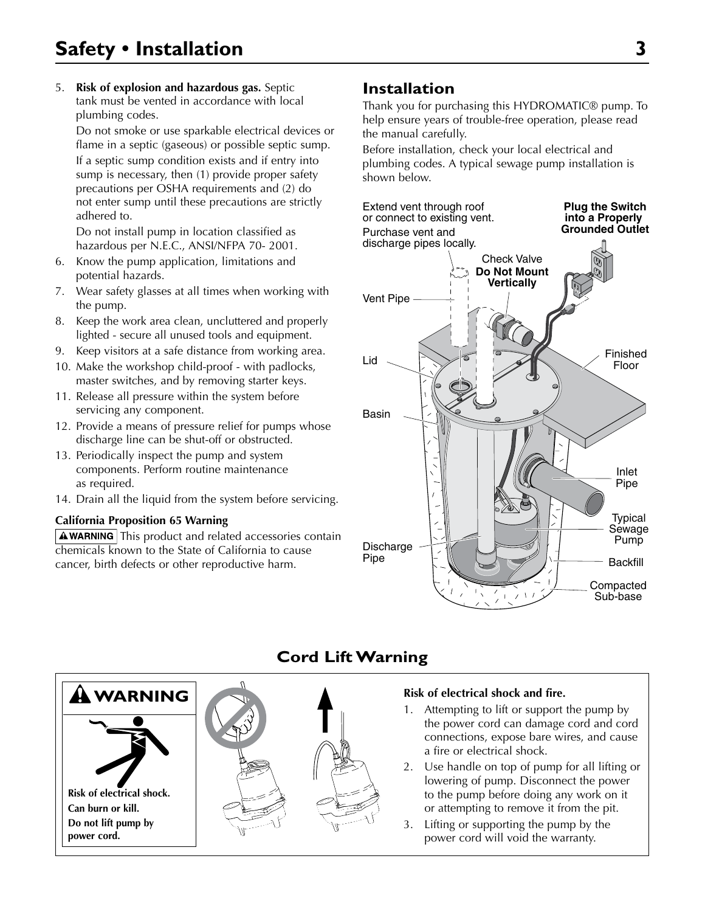# **Safety • Installation 3**

5. **Risk of explosion and hazardous gas.** Septic tank must be vented in accordance with local plumbing codes.

 Do not smoke or use sparkable electrical devices or flame in a septic (gaseous) or possible septic sump.

If a septic sump condition exists and if entry into sump is necessary, then (1) provide proper safety precautions per OSHA requirements and (2) do not enter sump until these precautions are strictly adhered to.

 Do not install pump in location classified as hazardous per N.E.C., ANSI/NFPA 70- 2001.

- 6. Know the pump application, limitations and potential hazards.
- 7. Wear safety glasses at all times when working with the pump.
- 8. Keep the work area clean, uncluttered and properly lighted - secure all unused tools and equipment.
- 9. Keep visitors at a safe distance from working area.
- 10. Make the workshop child-proof with padlocks, master switches, and by removing starter keys.
- 11. Release all pressure within the system before servicing any component.
- 12. Provide a means of pressure relief for pumps whose discharge line can be shut-off or obstructed.
- 13. Periodically inspect the pump and system components. Perform routine maintenance as required.
- 14. Drain all the liquid from the system before servicing.

#### **California Proposition 65 Warning**

 $\Delta$  WARNING This product and related accessories contain chemicals known to the State of California to cause cancer, birth defects or other reproductive harm.

## **Installation**

Thank you for purchasing this HYDROMATIC® pump. To help ensure years of trouble-free operation, please read the manual carefully.

Before installation, check your local electrical and plumbing codes. A typical sewage pump installation is shown below.





## **Cord Lift Warning**

#### **Risk of electrical shock and fire.**

- 1. Attempting to lift or support the pump by the power cord can damage cord and cord connections, expose bare wires, and cause a fire or electrical shock.
- 2. Use handle on top of pump for all lifting or lowering of pump. Disconnect the power to the pump before doing any work on it or attempting to remove it from the pit.
- 3. Lifting or supporting the pump by the power cord will void the warranty.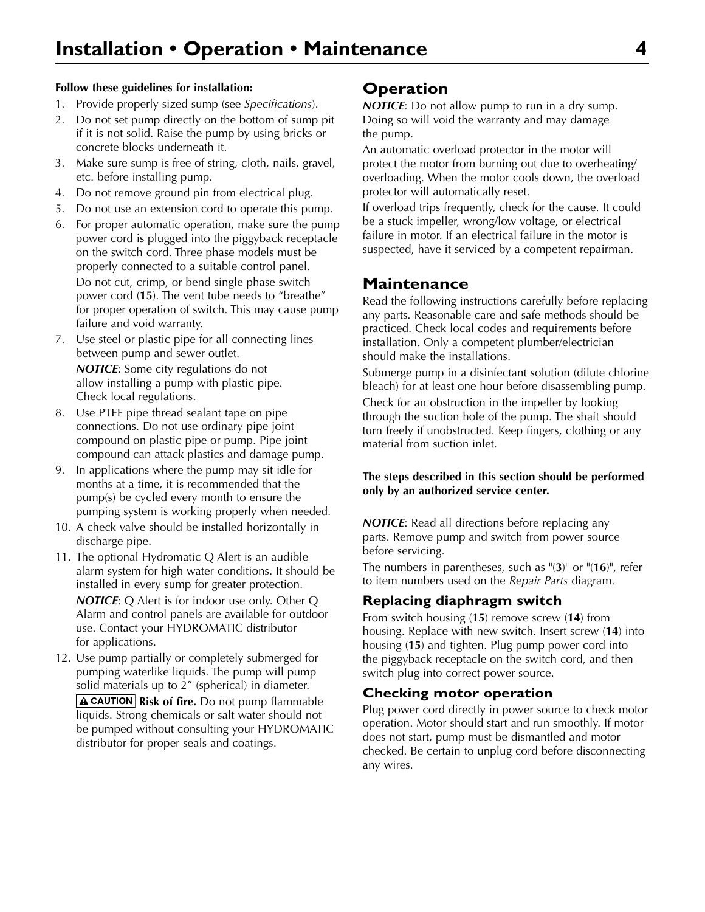#### **Follow these guidelines for installation:**

- 1. Provide properly sized sump (see *Specifications*).
- 2. Do not set pump directly on the bottom of sump pit if it is not solid. Raise the pump by using bricks or concrete blocks underneath it.
- 3. Make sure sump is free of string, cloth, nails, gravel, etc. before installing pump.
- 4. Do not remove ground pin from electrical plug.
- 5. Do not use an extension cord to operate this pump.
- 6. For proper automatic operation, make sure the pump power cord is plugged into the piggyback receptacle on the switch cord. Three phase models must be properly connected to a suitable control panel. Do not cut, crimp, or bend single phase switch power cord (**15**). The vent tube needs to "breathe" for proper operation of switch. This may cause pump failure and void warranty.
- 7. Use steel or plastic pipe for all connecting lines between pump and sewer outlet. *NOTICE*: Some city regulations do not

allow installing a pump with plastic pipe. Check local regulations.

- 8. Use PTFE pipe thread sealant tape on pipe connections. Do not use ordinary pipe joint compound on plastic pipe or pump. Pipe joint compound can attack plastics and damage pump.
- 9. In applications where the pump may sit idle for months at a time, it is recommended that the pump(s) be cycled every month to ensure the pumping system is working properly when needed.
- 10. A check valve should be installed horizontally in discharge pipe.
- 11. The optional Hydromatic Q Alert is an audible alarm system for high water conditions. It should be installed in every sump for greater protection.

*NOTICE*: Q Alert is for indoor use only. Other Q Alarm and control panels are available for outdoor use. Contact your HYDROMATIC distributor for applications.

12. Use pump partially or completely submerged for pumping waterlike liquids. The pump will pump solid materials up to 2" (spherical) in diameter. **A CAUTION** Risk of fire. Do not pump flammable liquids. Strong chemicals or salt water should not be pumped without consulting your HYDROMATIC distributor for proper seals and coatings.

### **Operation**

*NOTICE*: Do not allow pump to run in a dry sump. Doing so will void the warranty and may damage the pump.

An automatic overload protector in the motor will protect the motor from burning out due to overheating/ overloading. When the motor cools down, the overload protector will automatically reset.

If overload trips frequently, check for the cause. It could be a stuck impeller, wrong/low voltage, or electrical failure in motor. If an electrical failure in the motor is suspected, have it serviced by a competent repairman.

### **Maintenance**

Read the following instructions carefully before replacing any parts. Reasonable care and safe methods should be practiced. Check local codes and requirements before installation. Only a competent plumber/electrician should make the installations.

Submerge pump in a disinfectant solution (dilute chlorine bleach) for at least one hour before disassembling pump. Check for an obstruction in the impeller by looking through the suction hole of the pump. The shaft should turn freely if unobstructed. Keep fingers, clothing or any material from suction inlet.

#### **The steps described in this section should be performed only by an authorized service center.**

*NOTICE*: Read all directions before replacing any parts. Remove pump and switch from power source before servicing.

The numbers in parentheses, such as "(**3**)" or "(**16**)", refer to item numbers used on the *Repair Parts* diagram.

### **Replacing diaphragm switch**

From switch housing (**15**) remove screw (**14**) from housing. Replace with new switch. Insert screw (**14**) into housing (**15**) and tighten. Plug pump power cord into the piggyback receptacle on the switch cord, and then switch plug into correct power source.

### **Checking motor operation**

Plug power cord directly in power source to check motor operation. Motor should start and run smoothly. If motor does not start, pump must be dismantled and motor checked. Be certain to unplug cord before disconnecting any wires.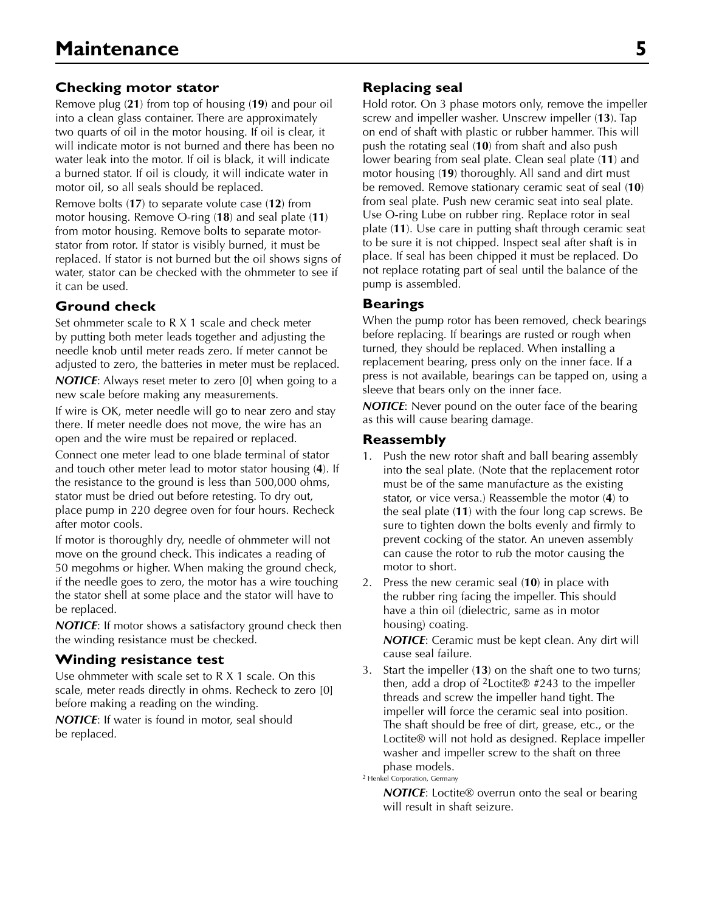### **Checking motor stator**

Remove plug (**21**) from top of housing (**19**) and pour oil into a clean glass container. There are approximately two quarts of oil in the motor housing. If oil is clear, it will indicate motor is not burned and there has been no water leak into the motor. If oil is black, it will indicate a burned stator. If oil is cloudy, it will indicate water in motor oil, so all seals should be replaced.

Remove bolts (**17**) to separate volute case (**12**) from motor housing. Remove O-ring (**18**) and seal plate (**11**) from motor housing. Remove bolts to separate motorstator from rotor. If stator is visibly burned, it must be replaced. If stator is not burned but the oil shows signs of water, stator can be checked with the ohmmeter to see if it can be used.

### **Ground check**

Set ohmmeter scale to R X 1 scale and check meter by putting both meter leads together and adjusting the needle knob until meter reads zero. If meter cannot be adjusted to zero, the batteries in meter must be replaced. *NOTICE*: Always reset meter to zero [0] when going to a new scale before making any measurements.

If wire is OK, meter needle will go to near zero and stay there. If meter needle does not move, the wire has an open and the wire must be repaired or replaced.

Connect one meter lead to one blade terminal of stator and touch other meter lead to motor stator housing (**4**). If the resistance to the ground is less than 500,000 ohms, stator must be dried out before retesting. To dry out, place pump in 220 degree oven for four hours. Recheck after motor cools.

If motor is thoroughly dry, needle of ohmmeter will not move on the ground check. This indicates a reading of 50 megohms or higher. When making the ground check, if the needle goes to zero, the motor has a wire touching the stator shell at some place and the stator will have to be replaced.

*NOTICE*: If motor shows a satisfactory ground check then the winding resistance must be checked.

### **Winding resistance test**

Use ohmmeter with scale set to R X 1 scale. On this scale, meter reads directly in ohms. Recheck to zero [0] before making a reading on the winding.

*NOTICE*: If water is found in motor, seal should be replaced.

### **Replacing seal**

Hold rotor. On 3 phase motors only, remove the impeller screw and impeller washer. Unscrew impeller (**13**). Tap on end of shaft with plastic or rubber hammer. This will push the rotating seal (**10**) from shaft and also push lower bearing from seal plate. Clean seal plate (**11**) and motor housing (**19**) thoroughly. All sand and dirt must be removed. Remove stationary ceramic seat of seal (**10**) from seal plate. Push new ceramic seat into seal plate. Use O-ring Lube on rubber ring. Replace rotor in seal plate (**11**). Use care in putting shaft through ceramic seat to be sure it is not chipped. Inspect seal after shaft is in place. If seal has been chipped it must be replaced. Do not replace rotating part of seal until the balance of the pump is assembled.

### **Bearings**

When the pump rotor has been removed, check bearings before replacing. If bearings are rusted or rough when turned, they should be replaced. When installing a replacement bearing, press only on the inner face. If a press is not available, bearings can be tapped on, using a sleeve that bears only on the inner face.

*NOTICE*: Never pound on the outer face of the bearing as this will cause bearing damage.

### **Reassembly**

- 1. Push the new rotor shaft and ball bearing assembly into the seal plate. (Note that the replacement rotor must be of the same manufacture as the existing stator, or vice versa.) Reassemble the motor (**4**) to the seal plate (**11**) with the four long cap screws. Be sure to tighten down the bolts evenly and firmly to prevent cocking of the stator. An uneven assembly can cause the rotor to rub the motor causing the motor to short.
- 2. Press the new ceramic seal (**10**) in place with the rubber ring facing the impeller. This should have a thin oil (dielectric, same as in motor housing) coating.

*NOTICE*: Ceramic must be kept clean. Any dirt will cause seal failure.

3. Start the impeller (**13**) on the shaft one to two turns; then, add a drop of <sup>2</sup>Loctite<sup>®</sup> #243 to the impeller threads and screw the impeller hand tight. The impeller will force the ceramic seal into position. The shaft should be free of dirt, grease, etc., or the Loctite® will not hold as designed. Replace impeller washer and impeller screw to the shaft on three phase models.

2 Henkel Corporation, Germany

*NOTICE*: Loctite<sup>®</sup> overrun onto the seal or bearing will result in shaft seizure.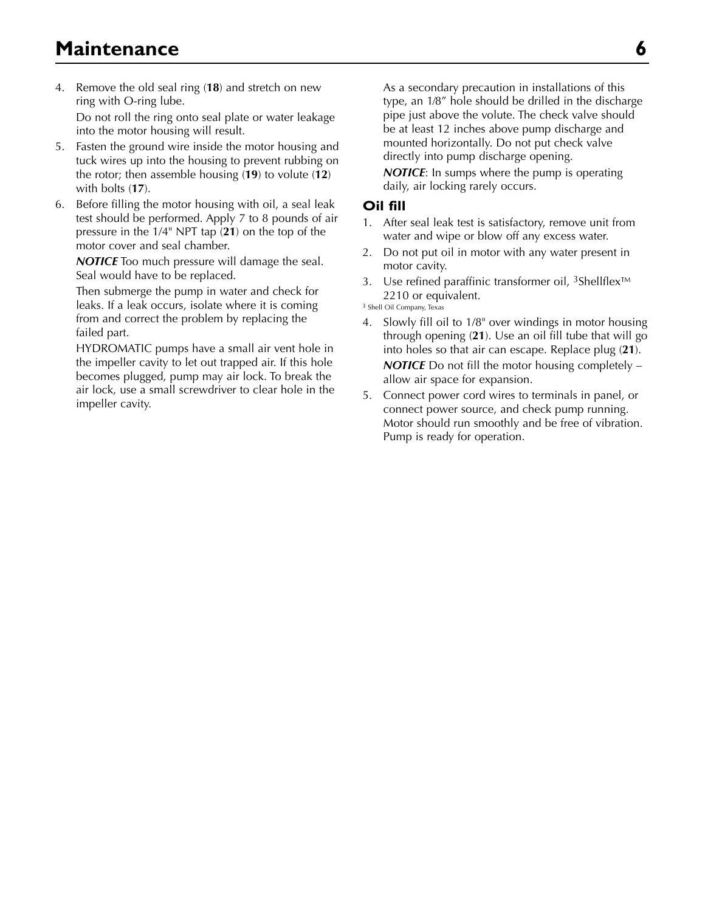- 4. Remove the old seal ring (**18**) and stretch on new ring with O-ring lube. Do not roll the ring onto seal plate or water leakage into the motor housing will result.
- 5. Fasten the ground wire inside the motor housing and tuck wires up into the housing to prevent rubbing on the rotor; then assemble housing (**19**) to volute (**12**) with bolts (**17**).
- 6. Before filling the motor housing with oil, a seal leak test should be performed. Apply 7 to 8 pounds of air pressure in the 1/4" NPT tap (**21**) on the top of the motor cover and seal chamber.

*NOTICE* Too much pressure will damage the seal. Seal would have to be replaced.

Then submerge the pump in water and check for leaks. If a leak occurs, isolate where it is coming from and correct the problem by replacing the failed part.

HYDROMATIC pumps have a small air vent hole in the impeller cavity to let out trapped air. If this hole becomes plugged, pump may air lock. To break the air lock, use a small screwdriver to clear hole in the impeller cavity.

 As a secondary precaution in installations of this type, an 1⁄8" hole should be drilled in the discharge pipe just above the volute. The check valve should be at least 12 inches above pump discharge and mounted horizontally. Do not put check valve directly into pump discharge opening.

*NOTICE*: In sumps where the pump is operating daily, air locking rarely occurs.

### **Oil fill**

- 1. After seal leak test is satisfactory, remove unit from water and wipe or blow off any excess water.
- 2. Do not put oil in motor with any water present in motor cavity.
- 3. Use refined paraffinic transformer oil, 3Shellflex™ 2210 or equivalent.

3 Shell Oil Company, Texas

- 4. Slowly fill oil to 1/8" over windings in motor housing through opening (**21**). Use an oil fill tube that will go into holes so that air can escape. Replace plug (**21**). *NOTICE* Do not fill the motor housing completely – allow air space for expansion.
- 5. Connect power cord wires to terminals in panel, or connect power source, and check pump running. Motor should run smoothly and be free of vibration. Pump is ready for operation.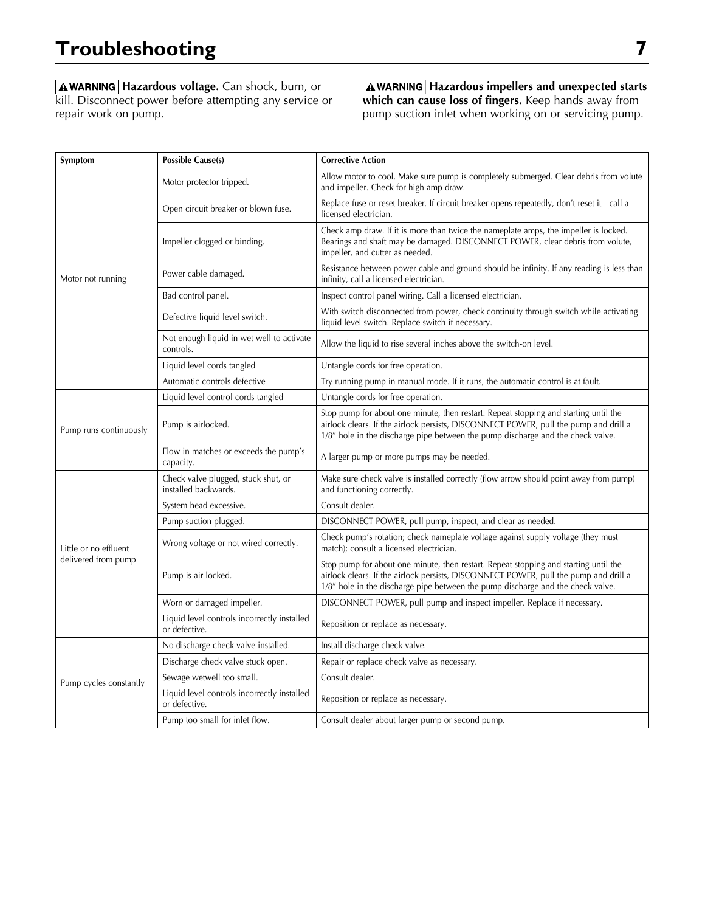**AWARNING** Hazardous voltage. Can shock, burn, or kill. Disconnect power before attempting any service or repair work on pump.

**A** WARNING Hazardous impellers and unexpected starts **which can cause loss of fingers.** Keep hands away from pump suction inlet when working on or servicing pump.

| Symptom                | <b>Possible Cause(s)</b>                                     | <b>Corrective Action</b>                                                                                                                                                                                                                                        |  |
|------------------------|--------------------------------------------------------------|-----------------------------------------------------------------------------------------------------------------------------------------------------------------------------------------------------------------------------------------------------------------|--|
|                        | Motor protector tripped.                                     | Allow motor to cool. Make sure pump is completely submerged. Clear debris from volute<br>and impeller. Check for high amp draw.                                                                                                                                 |  |
| Motor not running      | Open circuit breaker or blown fuse.                          | Replace fuse or reset breaker. If circuit breaker opens repeatedly, don't reset it - call a<br>licensed electrician.                                                                                                                                            |  |
|                        | Impeller clogged or binding.                                 | Check amp draw. If it is more than twice the nameplate amps, the impeller is locked.<br>Bearings and shaft may be damaged. DISCONNECT POWER, clear debris from volute,<br>impeller, and cutter as needed.                                                       |  |
|                        | Power cable damaged.                                         | Resistance between power cable and ground should be infinity. If any reading is less than<br>infinity, call a licensed electrician.                                                                                                                             |  |
|                        | Bad control panel.                                           | Inspect control panel wiring. Call a licensed electrician.                                                                                                                                                                                                      |  |
|                        | Defective liquid level switch.                               | With switch disconnected from power, check continuity through switch while activating<br>liquid level switch. Replace switch if necessary.                                                                                                                      |  |
|                        | Not enough liquid in wet well to activate<br>controls.       | Allow the liquid to rise several inches above the switch-on level.                                                                                                                                                                                              |  |
|                        | Liquid level cords tangled                                   | Untangle cords for free operation.                                                                                                                                                                                                                              |  |
|                        | Automatic controls defective                                 | Try running pump in manual mode. If it runs, the automatic control is at fault.                                                                                                                                                                                 |  |
| Pump runs continuously | Liquid level control cords tangled                           | Untangle cords for free operation.                                                                                                                                                                                                                              |  |
|                        | Pump is airlocked.                                           | Stop pump for about one minute, then restart. Repeat stopping and starting until the<br>airlock clears. If the airlock persists, DISCONNECT POWER, pull the pump and drill a<br>1/8" hole in the discharge pipe between the pump discharge and the check valve. |  |
|                        | Flow in matches or exceeds the pump's<br>capacity.           | A larger pump or more pumps may be needed.                                                                                                                                                                                                                      |  |
|                        | Check valve plugged, stuck shut, or<br>installed backwards.  | Make sure check valve is installed correctly (flow arrow should point away from pump)<br>and functioning correctly.                                                                                                                                             |  |
|                        | System head excessive.                                       | Consult dealer.                                                                                                                                                                                                                                                 |  |
|                        | Pump suction plugged.                                        | DISCONNECT POWER, pull pump, inspect, and clear as needed.                                                                                                                                                                                                      |  |
| Little or no effluent  | Wrong voltage or not wired correctly.                        | Check pump's rotation; check nameplate voltage against supply voltage (they must<br>match); consult a licensed electrician.                                                                                                                                     |  |
| delivered from pump    | Pump is air locked.                                          | Stop pump for about one minute, then restart. Repeat stopping and starting until the<br>airlock clears. If the airlock persists, DISCONNECT POWER, pull the pump and drill a<br>1/8" hole in the discharge pipe between the pump discharge and the check valve. |  |
|                        | Worn or damaged impeller.                                    | DISCONNECT POWER, pull pump and inspect impeller. Replace if necessary.                                                                                                                                                                                         |  |
|                        | Liquid level controls incorrectly installed<br>or defective. | Reposition or replace as necessary.                                                                                                                                                                                                                             |  |
|                        | No discharge check valve installed.                          | Install discharge check valve.                                                                                                                                                                                                                                  |  |
|                        | Discharge check valve stuck open.                            | Repair or replace check valve as necessary.                                                                                                                                                                                                                     |  |
| Pump cycles constantly | Sewage wetwell too small.                                    | Consult dealer.                                                                                                                                                                                                                                                 |  |
|                        | Liquid level controls incorrectly installed<br>or defective. | Reposition or replace as necessary.                                                                                                                                                                                                                             |  |
|                        | Pump too small for inlet flow.                               | Consult dealer about larger pump or second pump.                                                                                                                                                                                                                |  |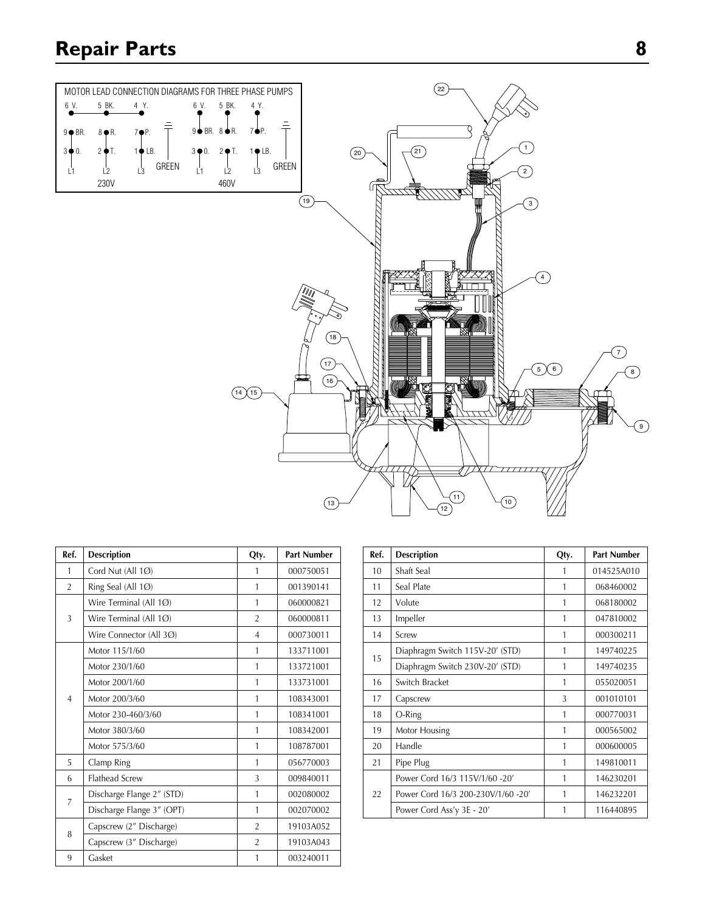# **Repair Parts 8**



| Ref.           | <b>Description</b>        | Qty.           | <b>Part Number</b> |
|----------------|---------------------------|----------------|--------------------|
| 1              | Cord Nut (All 1Ø)         | 1              | 000750051          |
| $\overline{2}$ | Ring Seal (All 1Ø)        | $\mathbf{1}$   | 001390141          |
|                | Wire Terminal (All $1Ø$ ) | 1              | 060000821          |
| 3              | Wire Terminal (All 1Ø)    | $\overline{2}$ | 060000811          |
|                | Wire Connector (All 3Ø)   | $\overline{4}$ | 000730011          |
|                | Motor 115/1/60            | 1              | 133711001          |
|                | Motor 230/1/60            | 1              | 133721001          |
| $\overline{4}$ | Motor 200/1/60            | 1              | 133731001          |
|                | Motor 200/3/60            | $\mathbf{1}$   | 108343001          |
|                | Motor 230-460/3/60        | 1              | 108341001          |
|                | Motor 380/3/60            | 1              | 108342001          |
|                | Motor 575/3/60            | 1              | 108787001          |
| 5              | Clamp Ring                | 1              | 056770003          |
| 6              | <b>Flathead Screw</b>     | 3              | 009840011          |
|                | Discharge Flange 2" (STD) | 1              | 002080002          |
| 7              | Discharge Flange 3" (OPT) | 1              | 002070002          |
|                | Capscrew (2" Discharge)   | $\overline{2}$ | 19103A052          |
| 8              | Capscrew (3" Discharge)   | $\overline{2}$ | 19103A043          |
| 9              | Gasket                    | 1              | 003240011          |

| Ref. | <b>Description</b>                 | Qty. | <b>Part Number</b> |
|------|------------------------------------|------|--------------------|
| 10   | Shaft Seal                         | 1    | 014525A010         |
| 11   | Seal Plate                         | 1    | 068460002          |
| 12   | Volute                             | 1    | 068180002          |
| 13   | Impeller                           | 1    | 047810002          |
| 14   | Screw                              | 1    | 000300211          |
| 15   | Diaphragm Switch 115V-20' (STD)    | 1    | 149740225          |
|      | Diaphragm Switch 230V-20' (STD)    | 1    | 149740235          |
| 16   | Switch Bracket                     | 1    | 055020051          |
| 17   | Capscrew                           | 3    | 001010101          |
| 18   | O-Ring<br>1                        |      | 000770031          |
| 19   | Motor Housing                      | 1    | 000565002          |
| 20   | Handle                             | 1    | 000600005          |
| 21   | Pipe Plug                          | 1    | 149810011          |
| 22   | Power Cord 16/3 115V/1/60 -20'     | 1    | 146230201          |
|      | Power Cord 16/3 200-230V/1/60 -20' | 1    | 146232201          |
|      | Power Cord Ass'y 3E - 20'          | 1    | 116440895          |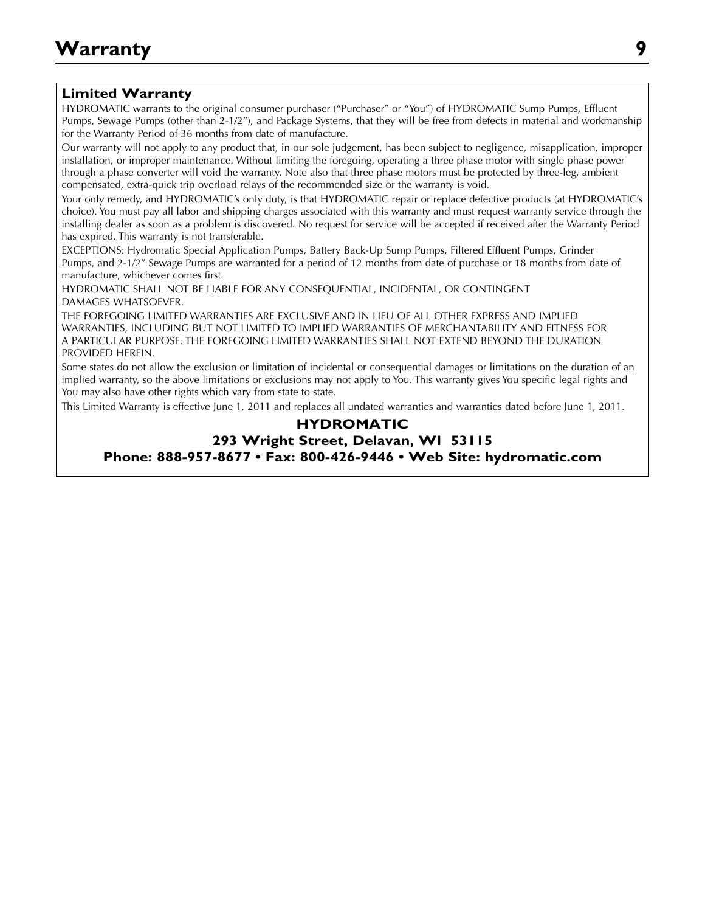### **Limited Warranty**

HYDROMATIC warrants to the original consumer purchaser ("Purchaser" or "You") of HYDROMATIC Sump Pumps, Effluent Pumps, Sewage Pumps (other than 2-1/2"), and Package Systems, that they will be free from defects in material and workmanship for the Warranty Period of 36 months from date of manufacture.

**Warranty** installation, or improper maintenance. Without limiting the foregoing, operating a three phase motor with single phase power Our warranty will not apply to any product that, in our sole judgement, has been subject to negligence, misapplication, improper through a phase converter will void the warranty. Note also that three phase motors must be protected by three-leg, ambient compensated, extra-quick trip overload relays of the recommended size or the warranty is void.

Your only remedy, and HYDROMATIC's only duty, is that HYDROMATIC repair or replace defective products (at HYDROMATIC's choice). You must pay all labor and shipping charges associated with this warranty and must request warranty service through the installing dealer as soon as a problem is discovered. No request for service will be accepted if received after the Warranty Period has expired. This warranty is not transferable.

EXCEPTIONS: Hydromatic Special Application Pumps, Battery Back-Up Sump Pumps, Filtered Effluent Pumps, Grinder Pumps, and 2-1/2" Sewage Pumps are warranted for a period of 12 months from date of purchase or 18 months from date of manufacture, whichever comes first.

HYDROMATIC SHALL NOT BE LIABLE FOR ANY CONSEQUENTIAL, INCIDENTAL, OR CONTINGENT DAMAGES WHATSOEVER.

THE FOREGOING LIMITED WARRANTIES ARE EXCLUSIVE AND IN LIEU OF ALL OTHER EXPRESS AND IMPLIED WARRANTIES, INCLUDING BUT NOT LIMITED TO IMPLIED WARRANTIES OF MERCHANTABILITY AND FITNESS FOR A PARTICULAR PURPOSE. THE FOREGOING LIMITED WARRANTIES SHALL NOT EXTEND BEYOND THE DURATION PROVIDED HEREIN.

Some states do not allow the exclusion or limitation of incidental or consequential damages or limitations on the duration of an implied warranty, so the above limitations or exclusions may not apply to You. This warranty gives You specific legal rights and You may also have other rights which vary from state to state.

This Limited Warranty is effective June 1, 2011 and replaces all undated warranties and warranties dated before June 1, 2011.

### **HYDROMATIC 293 Wright Street, Delavan, WI 53115 Phone: 888-957-8677 • Fax: 800-426-9446 • Web Site: hydromatic.com**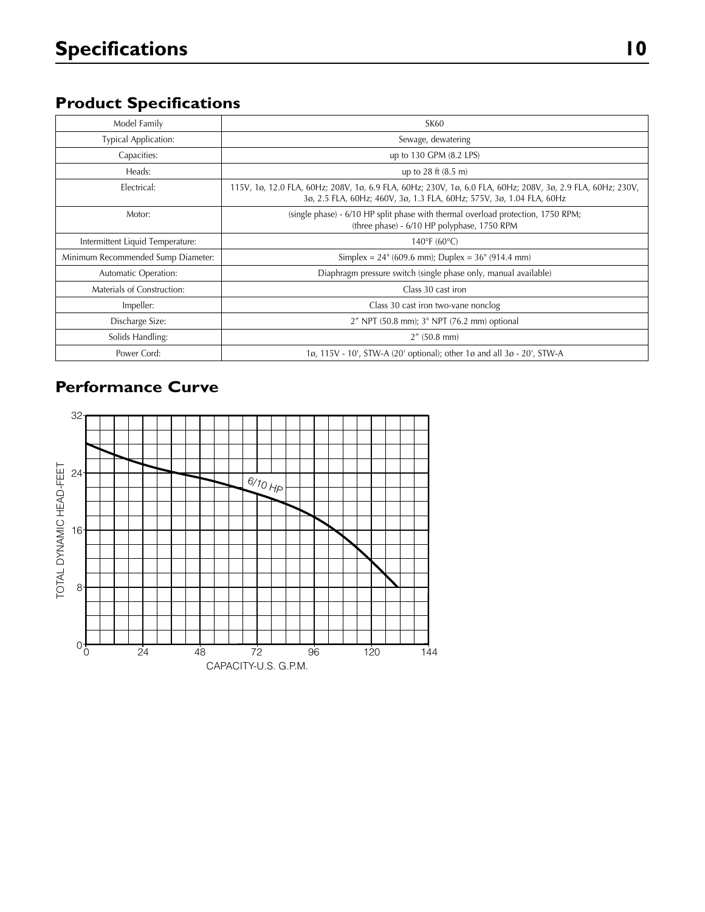# **Product Specifications**

| Model Family                       | <b>SK60</b>                                                                                                                                                                        |
|------------------------------------|------------------------------------------------------------------------------------------------------------------------------------------------------------------------------------|
| <b>Typical Application:</b>        | Sewage, dewatering                                                                                                                                                                 |
| Capacities:                        | up to 130 GPM (8.2 LPS)                                                                                                                                                            |
| Heads:                             | up to $28 \text{ ft} (8.5 \text{ m})$                                                                                                                                              |
| Electrical:                        | 115V, 1ø, 12.0 FLA, 60Hz; 208V, 1ø, 6.9 FLA, 60Hz; 230V, 1ø, 6.0 FLA, 60Hz; 208V, 3ø, 2.9 FLA, 60Hz; 230V,<br>3ø, 2.5 FLA, 60Hz; 460V, 3ø, 1.3 FLA, 60Hz; 575V, 3ø, 1.04 FLA, 60Hz |
| Motor:                             | (single phase) - 6/10 HP split phase with thermal overload protection, 1750 RPM;<br>(three phase) - 6/10 HP polyphase, 1750 RPM                                                    |
| Intermittent Liquid Temperature:   | $140^{\circ}F(60^{\circ}C)$                                                                                                                                                        |
| Minimum Recommended Sump Diameter: | Simplex = $24^{\circ}$ (609.6 mm); Duplex = $36^{\circ}$ (914.4 mm)                                                                                                                |
| Automatic Operation:               | Diaphragm pressure switch (single phase only, manual available)                                                                                                                    |
| Materials of Construction:         | Class 30 cast iron                                                                                                                                                                 |
| Impeller:                          | Class 30 cast iron two-vane nonclog                                                                                                                                                |
| Discharge Size:                    | 2" NPT (50.8 mm); 3" NPT (76.2 mm) optional                                                                                                                                        |
| Solids Handling:                   | $2''$ (50.8 mm)                                                                                                                                                                    |
| Power Cord:                        | 1ø, 115V - 10', STW-A (20' optional); other 1ø and all 3ø - 20', STW-A                                                                                                             |

# **Performance Curve**

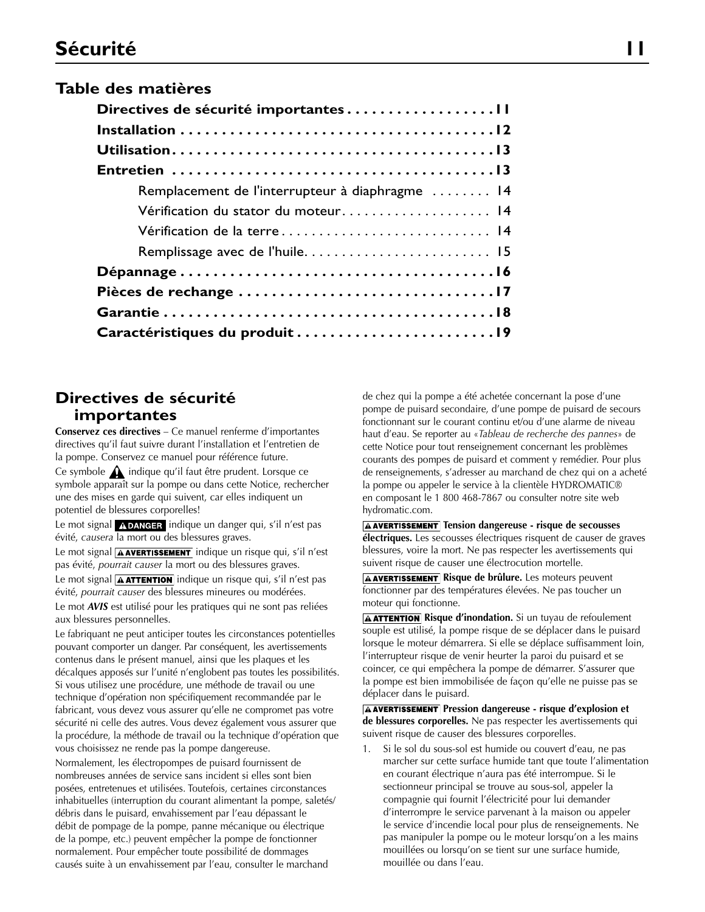### **Table des matières**

| Remplacement de l'interrupteur à diaphragme  14 |
|-------------------------------------------------|
| Vérification du stator du moteur 14             |
| Vérification de la terre 14                     |
|                                                 |
|                                                 |
|                                                 |
|                                                 |
|                                                 |

### **Directives de sécurité importantes**

**Conservez ces directives** – Ce manuel renferme d'importantes directives qu'il faut suivre durant l'installation et l'entretien de la pompe. Conservez ce manuel pour référence future.

Ce symbole  $\bigwedge$  indique qu'il faut être prudent. Lorsque ce symbole apparaît sur la pompe ou dans cette Notice, rechercher une des mises en garde qui suivent, car elles indiquent un potentiel de blessures corporelles!

Le mot signal **ADANGER** indique un danger qui, s'il n'est pas évité, *causera* la mort ou des blessures graves.

Le mot signal **AAVERTISSEMENT** indique un risque qui, s'il n'est pas évité, *pourrait causer* la mort ou des blessures graves.

Le mot signal  $\boxed{\text{A}$  ATTENTION indique un risque qui, s'il n'est pas évité, *pourrait causer* des blessures mineures ou modérées.

Le mot *AVIS* est utilisé pour les pratiques qui ne sont pas reliées aux blessures personnelles.

Le fabriquant ne peut anticiper toutes les circonstances potentielles pouvant comporter un danger. Par conséquent, les avertissements contenus dans le présent manuel, ainsi que les plaques et les décalques apposés sur l'unité n'englobent pas toutes les possibilités. Si vous utilisez une procédure, une méthode de travail ou une technique d'opération non spécifiquement recommandée par le fabricant, vous devez vous assurer qu'elle ne compromet pas votre sécurité ni celle des autres. Vous devez également vous assurer que la procédure, la méthode de travail ou la technique d'opération que vous choisissez ne rende pas la pompe dangereuse.

Normalement, les électropompes de puisard fournissent de nombreuses années de service sans incident si elles sont bien posées, entretenues et utilisées. Toutefois, certaines circonstances inhabituelles (interruption du courant alimentant la pompe, saletés/ débris dans le puisard, envahissement par l'eau dépassant le débit de pompage de la pompe, panne mécanique ou électrique de la pompe, etc.) peuvent empêcher la pompe de fonctionner normalement. Pour empêcher toute possibilité de dommages causés suite à un envahissement par l'eau, consulter le marchand

de chez qui la pompe a été achetée concernant la pose d'une pompe de puisard secondaire, d'une pompe de puisard de secours fonctionnant sur le courant continu et/ou d'une alarme de niveau haut d'eau. Se reporter au «*Tableau de recherche des pannes*» de cette Notice pour tout renseignement concernant les problèmes courants des pompes de puisard et comment y remédier. Pour plus de renseignements, s'adresser au marchand de chez qui on a acheté la pompe ou appeler le service à la clientèle HYDROMATIC® en composant le 1 800 468-7867 ou consulter notre site web hydromatic.com.

**A AVERTISSEMENT** Tension dangereuse - risque de secousses **électriques.** Les secousses électriques risquent de causer de graves blessures, voire la mort. Ne pas respecter les avertissements qui suivent risque de causer une électrocution mortelle.

**A AVERTISSEMENT** Risque de brûlure. Les moteurs peuvent fonctionner par des températures élevées. Ne pas toucher un moteur qui fonctionne.

**A ATTENTION** Risque d'inondation. Si un tuyau de refoulement souple est utilisé, la pompe risque de se déplacer dans le puisard lorsque le moteur démarrera. Si elle se déplace suffisamment loin, l'interrupteur risque de venir heurter la paroi du puisard et se coincer, ce qui empêchera la pompe de démarrer. S'assurer que la pompe est bien immobilisée de façon qu'elle ne puisse pas se déplacer dans le puisard.

**A AVERTISSEMENT** Pression dangereuse - risque d'explosion et **de blessures corporelles.** Ne pas respecter les avertissements qui suivent risque de causer des blessures corporelles.

1. Si le sol du sous-sol est humide ou couvert d'eau, ne pas marcher sur cette surface humide tant que toute l'alimentation en courant électrique n'aura pas été interrompue. Si le sectionneur principal se trouve au sous-sol, appeler la compagnie qui fournit l'électricité pour lui demander d'interrompre le service parvenant à la maison ou appeler le service d'incendie local pour plus de renseignements. Ne pas manipuler la pompe ou le moteur lorsqu'on a les mains mouillées ou lorsqu'on se tient sur une surface humide, mouillée ou dans l'eau.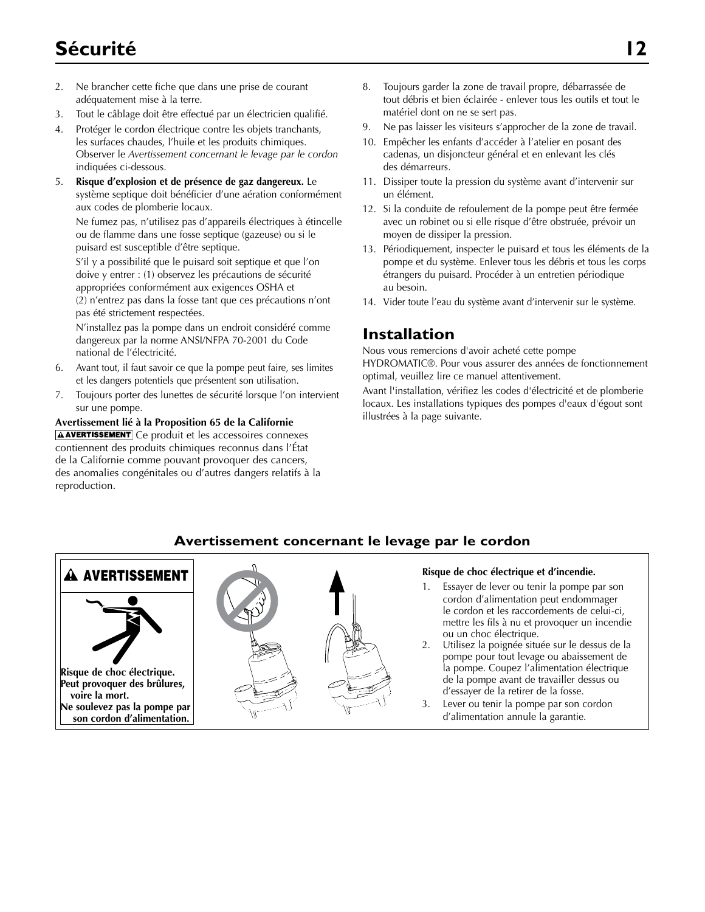# **Sécurité 12**

- 2. Ne brancher cette fiche que dans une prise de courant adéquatement mise à la terre.
- 3. Tout le câblage doit être effectué par un électricien qualifié.
- 4. Protéger le cordon électrique contre les objets tranchants, les surfaces chaudes, l'huile et les produits chimiques. Observer le *Avertissement concernant le levage par le cordon* indiquées ci-dessous.
- 5. **Risque d'explosion et de présence de gaz dangereux.** Le système septique doit bénéficier d'une aération conformément aux codes de plomberie locaux.

Ne fumez pas, n'utilisez pas d'appareils électriques à étincelle ou de flamme dans une fosse septique (gazeuse) ou si le puisard est susceptible d'être septique.

S'il y a possibilité que le puisard soit septique et que l'on doive y entrer : (1) observez les précautions de sécurité appropriées conformément aux exigences OSHA et (2) n'entrez pas dans la fosse tant que ces précautions n'ont pas été strictement respectées.

N'installez pas la pompe dans un endroit considéré comme dangereux par la norme ANSI/NFPA 70-2001 du Code national de l'électricité.

- Avant tout, il faut savoir ce que la pompe peut faire, ses limites et les dangers potentiels que présentent son utilisation.
- 7. Toujours porter des lunettes de sécurité lorsque l'on intervient sur une pompe.

#### **Avertissement lié à la Proposition 65 de la Californie AAVERTISSEMENT** Ce produit et les accessoires connexes contiennent des produits chimiques reconnus dans l'État de la Californie comme pouvant provoquer des cancers, des anomalies congénitales ou d'autres dangers relatifs à la reproduction.

- 8. Toujours garder la zone de travail propre, débarrassée de tout débris et bien éclairée - enlever tous les outils et tout le matériel dont on ne se sert pas.
- 9. Ne pas laisser les visiteurs s'approcher de la zone de travail.
- 10. Empêcher les enfants d'accéder à l'atelier en posant des cadenas, un disjoncteur général et en enlevant les clés des démarreurs.
- 11. Dissiper toute la pression du système avant d'intervenir sur un élément.
- 12. Si la conduite de refoulement de la pompe peut être fermée avec un robinet ou si elle risque d'être obstruée, prévoir un moyen de dissiper la pression.
- 13. Périodiquement, inspecter le puisard et tous les éléments de la pompe et du système. Enlever tous les débris et tous les corps étrangers du puisard. Procéder à un entretien périodique au besoin.
- 14. Vider toute l'eau du système avant d'intervenir sur le système.

## **Installation**

Nous vous remercions d'avoir acheté cette pompe

HYDROMATIC®. Pour vous assurer des années de fonctionnement optimal, veuillez lire ce manuel attentivement.

Avant l'installation, vérifiez les codes d'électricité et de plomberie locaux. Les installations typiques des pompes d'eaux d'égout sont illustrées à la page suivante.

### **Avertissement concernant le levage par le cordon**



**son cordon d'alimentation.**

### 1. Essayer de lever ou tenir la pompe par son

- cordon d'alimentation peut endommager le cordon et les raccordements de celui-ci, mettre les fils à nu et provoquer un incendie ou un choc électrique.
- 2. Utilisez la poignée située sur le dessus de la pompe pour tout levage ou abaissement de la pompe. Coupez l'alimentation électrique de la pompe avant de travailler dessus ou d'essayer de la retirer de la fosse.
- 3. Lever ou tenir la pompe par son cordon d'alimentation annule la garantie.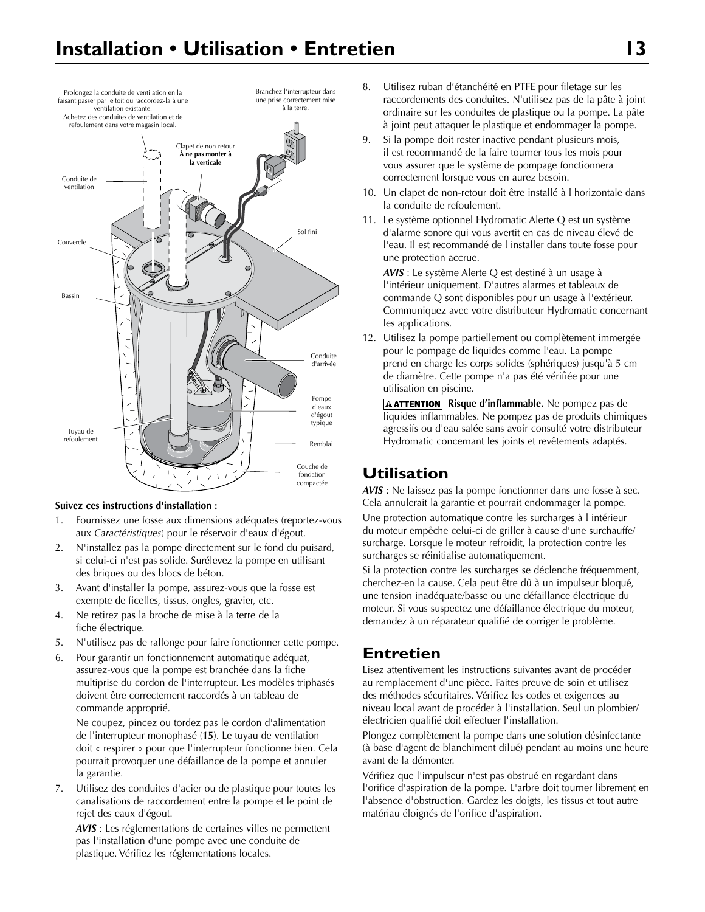

#### **Suivez ces instructions d'installation :**

- 1. Fournissez une fosse aux dimensions adéquates (reportez-vous aux *Caractéristiques*) pour le réservoir d'eaux d'égout.
- 2. N'installez pas la pompe directement sur le fond du puisard, si celui-ci n'est pas solide. Surélevez la pompe en utilisant des briques ou des blocs de béton.
- 3. Avant d'installer la pompe, assurez-vous que la fosse est exempte de ficelles, tissus, ongles, gravier, etc.
- 4. Ne retirez pas la broche de mise à la terre de la fiche électrique.
- 5. N'utilisez pas de rallonge pour faire fonctionner cette pompe.
- 6. Pour garantir un fonctionnement automatique adéquat, assurez-vous que la pompe est branchée dans la fiche multiprise du cordon de l'interrupteur. Les modèles triphasés doivent être correctement raccordés à un tableau de commande approprié.

Ne coupez, pincez ou tordez pas le cordon d'alimentation de l'interrupteur monophasé (**15**). Le tuyau de ventilation doit « respirer » pour que l'interrupteur fonctionne bien. Cela pourrait provoquer une défaillance de la pompe et annuler la garantie.

7. Utilisez des conduites d'acier ou de plastique pour toutes les canalisations de raccordement entre la pompe et le point de rejet des eaux d'égout.

*AVIS* : Les réglementations de certaines villes ne permettent pas l'installation d'une pompe avec une conduite de plastique. Vérifiez les réglementations locales.

- 8. Utilisez ruban d'étanchéité en PTFE pour filetage sur les raccordements des conduites. N'utilisez pas de la pâte à joint ordinaire sur les conduites de plastique ou la pompe. La pâte à joint peut attaquer le plastique et endommager la pompe.
- 9. Si la pompe doit rester inactive pendant plusieurs mois, il est recommandé de la faire tourner tous les mois pour vous assurer que le système de pompage fonctionnera correctement lorsque vous en aurez besoin.
- 10. Un clapet de non-retour doit être installé à l'horizontale dans la conduite de refoulement.
- 11. Le système optionnel Hydromatic Alerte Q est un système d'alarme sonore qui vous avertit en cas de niveau élevé de l'eau. Il est recommandé de l'installer dans toute fosse pour une protection accrue.

*AVIS* : Le système Alerte Q est destiné à un usage à l'intérieur uniquement. D'autres alarmes et tableaux de commande Q sont disponibles pour un usage à l'extérieur. Communiquez avec votre distributeur Hydromatic concernant les applications.

12. Utilisez la pompe partiellement ou complètement immergée pour le pompage de liquides comme l'eau. La pompe prend en charge les corps solides (sphériques) jusqu'à 5 cm de diamètre. Cette pompe n'a pas été vérifiée pour une utilisation en piscine.

**A ATTENTION** Risque d'inflammable. Ne pompez pas de liquides inflammables. Ne pompez pas de produits chimiques agressifs ou d'eau salée sans avoir consulté votre distributeur Hydromatic concernant les joints et revêtements adaptés.

## **Utilisation**

*AVIS* : Ne laissez pas la pompe fonctionner dans une fosse à sec. Cela annulerait la garantie et pourrait endommager la pompe. Une protection automatique contre les surcharges à l'intérieur du moteur empêche celui-ci de griller à cause d'une surchauffe/ surcharge. Lorsque le moteur refroidit, la protection contre les surcharges se réinitialise automatiquement.

Si la protection contre les surcharges se déclenche fréquemment, cherchez-en la cause. Cela peut être dû à un impulseur bloqué, une tension inadéquate/basse ou une défaillance électrique du moteur. Si vous suspectez une défaillance électrique du moteur, demandez à un réparateur qualifié de corriger le problème.

## **Entretien**

Lisez attentivement les instructions suivantes avant de procéder au remplacement d'une pièce. Faites preuve de soin et utilisez des méthodes sécuritaires. Vérifiez les codes et exigences au niveau local avant de procéder à l'installation. Seul un plombier/ électricien qualifié doit effectuer l'installation.

Plongez complètement la pompe dans une solution désinfectante (à base d'agent de blanchiment dilué) pendant au moins une heure avant de la démonter.

Vérifiez que l'impulseur n'est pas obstrué en regardant dans l'orifice d'aspiration de la pompe. L'arbre doit tourner librement en l'absence d'obstruction. Gardez les doigts, les tissus et tout autre matériau éloignés de l'orifice d'aspiration.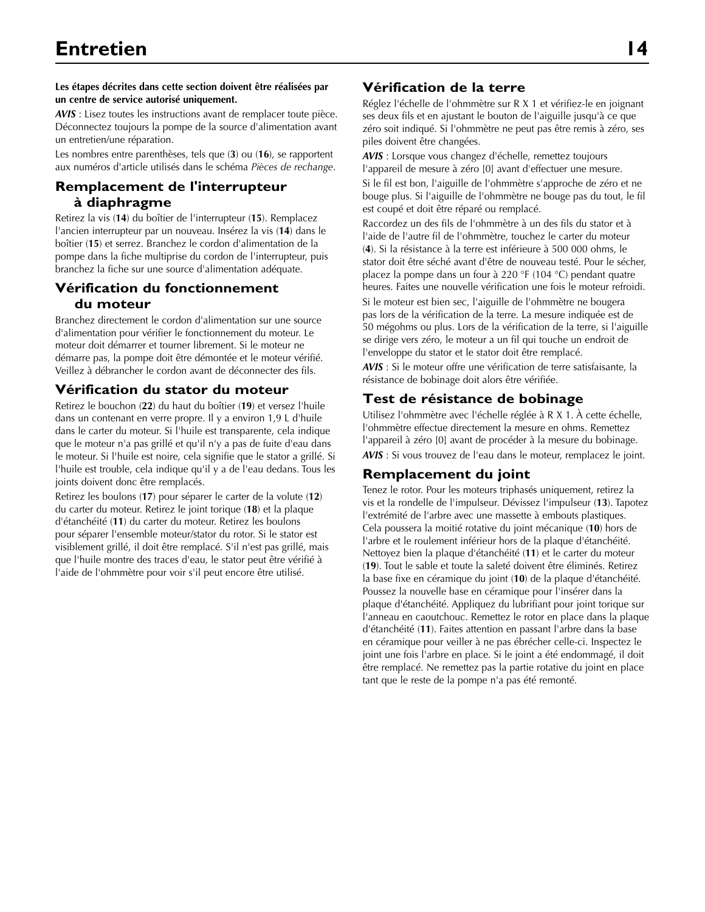#### **Les étapes décrites dans cette section doivent être réalisées par un centre de service autorisé uniquement.**

*AVIS* : Lisez toutes les instructions avant de remplacer toute pièce. Déconnectez toujours la pompe de la source d'alimentation avant un entretien/une réparation.

Les nombres entre parenthèses, tels que (**3**) ou (**16**), se rapportent aux numéros d'article utilisés dans le schéma *Pièces de rechange*.

### **Remplacement de l'interrupteur à diaphragme**

Retirez la vis (**14**) du boîtier de l'interrupteur (**15**). Remplacez l'ancien interrupteur par un nouveau. Insérez la vis (**14**) dans le boîtier (**15**) et serrez. Branchez le cordon d'alimentation de la pompe dans la fiche multiprise du cordon de l'interrupteur, puis branchez la fiche sur une source d'alimentation adéquate.

### **Vérification du fonctionnement du moteur**

Branchez directement le cordon d'alimentation sur une source d'alimentation pour vérifier le fonctionnement du moteur. Le moteur doit démarrer et tourner librement. Si le moteur ne démarre pas, la pompe doit être démontée et le moteur vérifié. Veillez à débrancher le cordon avant de déconnecter des fils.

### **Vérification du stator du moteur**

Retirez le bouchon (**22**) du haut du boîtier (**19**) et versez l'huile dans un contenant en verre propre. Il y a environ 1,9 L d'huile dans le carter du moteur. Si l'huile est transparente, cela indique que le moteur n'a pas grillé et qu'il n'y a pas de fuite d'eau dans le moteur. Si l'huile est noire, cela signifie que le stator a grillé. Si l'huile est trouble, cela indique qu'il y a de l'eau dedans. Tous les joints doivent donc être remplacés.

Retirez les boulons (**17**) pour séparer le carter de la volute (**12**) du carter du moteur. Retirez le joint torique (**18**) et la plaque d'étanchéité (**11**) du carter du moteur. Retirez les boulons pour séparer l'ensemble moteur/stator du rotor. Si le stator est visiblement grillé, il doit être remplacé. S'il n'est pas grillé, mais que l'huile montre des traces d'eau, le stator peut être vérifié à l'aide de l'ohmmètre pour voir s'il peut encore être utilisé.

### **Vérification de la terre**

Réglez l'échelle de l'ohmmètre sur R X 1 et vérifiez-le en joignant ses deux fils et en ajustant le bouton de l'aiguille jusqu'à ce que zéro soit indiqué. Si l'ohmmètre ne peut pas être remis à zéro, ses piles doivent être changées.

*AVIS* : Lorsque vous changez d'échelle, remettez toujours l'appareil de mesure à zéro [0] avant d'effectuer une mesure.

Si le fil est bon, l'aiguille de l'ohmmètre s'approche de zéro et ne bouge plus. Si l'aiguille de l'ohmmètre ne bouge pas du tout, le fil est coupé et doit être réparé ou remplacé.

Raccordez un des fils de l'ohmmètre à un des fils du stator et à l'aide de l'autre fil de l'ohmmètre, touchez le carter du moteur (**4**). Si la résistance à la terre est inférieure à 500 000 ohms, le stator doit être séché avant d'être de nouveau testé. Pour le sécher, placez la pompe dans un four à 220 °F (104 °C) pendant quatre heures. Faites une nouvelle vérification une fois le moteur refroidi.

Si le moteur est bien sec, l'aiguille de l'ohmmètre ne bougera pas lors de la vérification de la terre. La mesure indiquée est de 50 mégohms ou plus. Lors de la vérification de la terre, si l'aiguille se dirige vers zéro, le moteur a un fil qui touche un endroit de l'enveloppe du stator et le stator doit être remplacé.

*AVIS* : Si le moteur offre une vérification de terre satisfaisante, la résistance de bobinage doit alors être vérifiée.

### **Test de résistance de bobinage**

Utilisez l'ohmmètre avec l'échelle réglée à R X 1. À cette échelle, l'ohmmètre effectue directement la mesure en ohms. Remettez l'appareil à zéro [0] avant de procéder à la mesure du bobinage. *AVIS* : Si vous trouvez de l'eau dans le moteur, remplacez le joint.

### **Remplacement du joint**

Tenez le rotor. Pour les moteurs triphasés uniquement, retirez la vis et la rondelle de l'impulseur. Dévissez l'impulseur (**13**). Tapotez l'extrémité de l'arbre avec une massette à embouts plastiques. Cela poussera la moitié rotative du joint mécanique (**10**) hors de l'arbre et le roulement inférieur hors de la plaque d'étanchéité. Nettoyez bien la plaque d'étanchéité (**11**) et le carter du moteur (**19**). Tout le sable et toute la saleté doivent être éliminés. Retirez la base fixe en céramique du joint (**10**) de la plaque d'étanchéité. Poussez la nouvelle base en céramique pour l'insérer dans la plaque d'étanchéité. Appliquez du lubrifiant pour joint torique sur l'anneau en caoutchouc. Remettez le rotor en place dans la plaque d'étanchéité (**11**). Faites attention en passant l'arbre dans la base en céramique pour veiller à ne pas ébrécher celle-ci. Inspectez le joint une fois l'arbre en place. Si le joint a été endommagé, il doit être remplacé. Ne remettez pas la partie rotative du joint en place tant que le reste de la pompe n'a pas été remonté.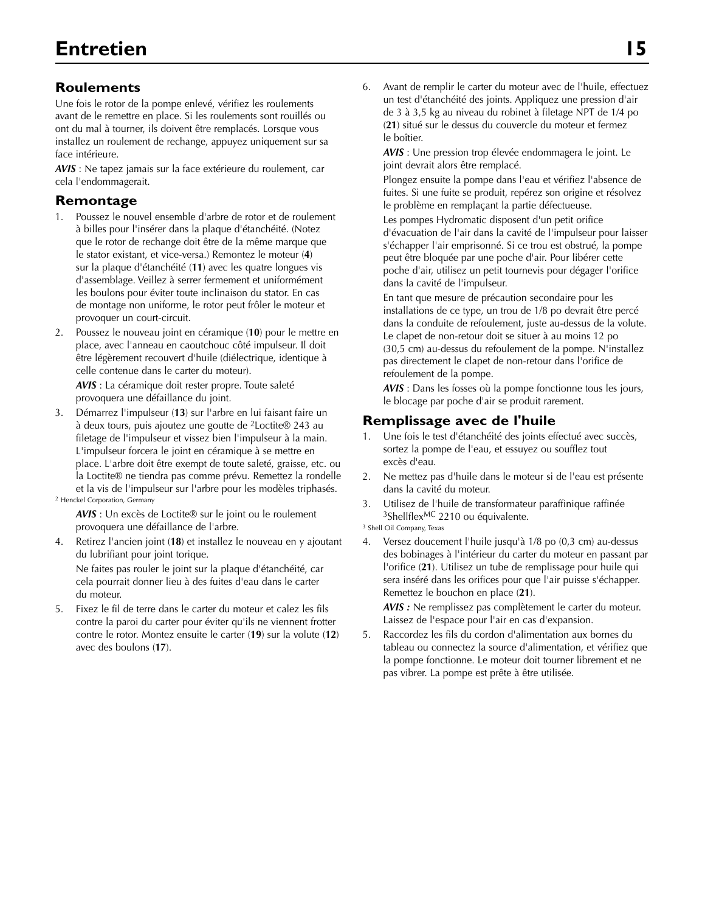### **Roulements**

Une fois le rotor de la pompe enlevé, vérifiez les roulements avant de le remettre en place. Si les roulements sont rouillés ou ont du mal à tourner, ils doivent être remplacés. Lorsque vous installez un roulement de rechange, appuyez uniquement sur sa face intérieure.

*AVIS* : Ne tapez jamais sur la face extérieure du roulement, car cela l'endommagerait.

### **Remontage**

- 1. Poussez le nouvel ensemble d'arbre de rotor et de roulement à billes pour l'insérer dans la plaque d'étanchéité. (Notez que le rotor de rechange doit être de la même marque que le stator existant, et vice-versa.) Remontez le moteur (**4**) sur la plaque d'étanchéité (**11**) avec les quatre longues vis d'assemblage. Veillez à serrer fermement et uniformément les boulons pour éviter toute inclinaison du stator. En cas de montage non uniforme, le rotor peut frôler le moteur et provoquer un court-circuit.
- 2. Poussez le nouveau joint en céramique (**10**) pour le mettre en place, avec l'anneau en caoutchouc côté impulseur. Il doit être légèrement recouvert d'huile (diélectrique, identique à celle contenue dans le carter du moteur).

*AVIS* : La céramique doit rester propre. Toute saleté provoquera une défaillance du joint.

3. Démarrez l'impulseur (**13**) sur l'arbre en lui faisant faire un à deux tours, puis ajoutez une goutte de 2Loctite® 243 au filetage de l'impulseur et vissez bien l'impulseur à la main. L'impulseur forcera le joint en céramique à se mettre en place. L'arbre doit être exempt de toute saleté, graisse, etc. ou la Loctite® ne tiendra pas comme prévu. Remettez la rondelle et la vis de l'impulseur sur l'arbre pour les modèles triphasés. 2 Henckel Corporation, Germany

*AVIS* : Un excès de Loctite® sur le joint ou le roulement provoquera une défaillance de l'arbre.

4. Retirez l'ancien joint (**18**) et installez le nouveau en y ajoutant du lubrifiant pour joint torique.

Ne faites pas rouler le joint sur la plaque d'étanchéité, car cela pourrait donner lieu à des fuites d'eau dans le carter du moteur.

5. Fixez le fil de terre dans le carter du moteur et calez les fils contre la paroi du carter pour éviter qu'ils ne viennent frotter contre le rotor. Montez ensuite le carter (**19**) sur la volute (**12**) avec des boulons (**17**).

6. Avant de remplir le carter du moteur avec de l'huile, effectuez un test d'étanchéité des joints. Appliquez une pression d'air de 3 à 3,5 kg au niveau du robinet à filetage NPT de 1/4 po (**21**) situé sur le dessus du couvercle du moteur et fermez le boîtier.

*AVIS* : Une pression trop élevée endommagera le joint. Le joint devrait alors être remplacé.

Plongez ensuite la pompe dans l'eau et vérifiez l'absence de fuites. Si une fuite se produit, repérez son origine et résolvez le problème en remplaçant la partie défectueuse.

Les pompes Hydromatic disposent d'un petit orifice d'évacuation de l'air dans la cavité de l'impulseur pour laisser s'échapper l'air emprisonné. Si ce trou est obstrué, la pompe peut être bloquée par une poche d'air. Pour libérer cette poche d'air, utilisez un petit tournevis pour dégager l'orifice dans la cavité de l'impulseur.

En tant que mesure de précaution secondaire pour les installations de ce type, un trou de 1/8 po devrait être percé dans la conduite de refoulement, juste au-dessus de la volute. Le clapet de non-retour doit se situer à au moins 12 po (30,5 cm) au-dessus du refoulement de la pompe. N'installez pas directement le clapet de non-retour dans l'orifice de refoulement de la pompe.

*AVIS* : Dans les fosses où la pompe fonctionne tous les jours, le blocage par poche d'air se produit rarement.

### **Remplissage avec de l'huile**

- 1. Une fois le test d'étanchéité des joints effectué avec succès, sortez la pompe de l'eau, et essuyez ou soufflez tout excès d'eau.
- 2. Ne mettez pas d'huile dans le moteur si de l'eau est présente dans la cavité du moteur.
- 3. Utilisez de l'huile de transformateur paraffinique raffinée 3ShellflexMC 2210 ou équivalente.

3 Shell Oil Company, Texas

4. Versez doucement l'huile jusqu'à 1/8 po (0,3 cm) au-dessus des bobinages à l'intérieur du carter du moteur en passant par l'orifice (**21**). Utilisez un tube de remplissage pour huile qui sera inséré dans les orifices pour que l'air puisse s'échapper. Remettez le bouchon en place (**21**).

*AVIS :* Ne remplissez pas complètement le carter du moteur. Laissez de l'espace pour l'air en cas d'expansion.

5. Raccordez les fils du cordon d'alimentation aux bornes du tableau ou connectez la source d'alimentation, et vérifiez que la pompe fonctionne. Le moteur doit tourner librement et ne pas vibrer. La pompe est prête à être utilisée.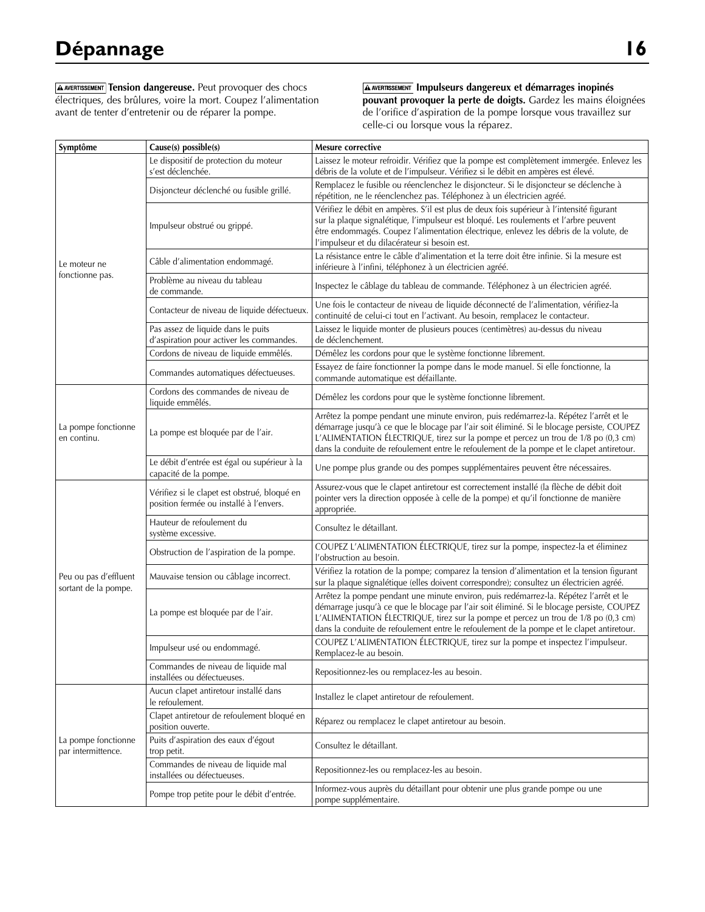**A AVERTISSEMENT** Tension dangereuse. Peut provoquer des chocs électriques, des brûlures, voire la mort. Coupez l'alimentation avant de tenter d'entretenir ou de réparer la pompe.

 **Impulseurs dangereux et démarrages inopinés pouvant provoquer la perte de doigts.** Gardez les mains éloignées de l'orifice d'aspiration de la pompe lorsque vous travaillez sur celle-ci ou lorsque vous la réparez.

| Symptôme                                      | Cause(s) possible(s)                                                                    | Mesure corrective                                                                                                                                                                                                                                                                                                                                                       |  |
|-----------------------------------------------|-----------------------------------------------------------------------------------------|-------------------------------------------------------------------------------------------------------------------------------------------------------------------------------------------------------------------------------------------------------------------------------------------------------------------------------------------------------------------------|--|
|                                               | Le dispositif de protection du moteur<br>s'est déclenchée.                              | Laissez le moteur refroidir. Vérifiez que la pompe est complètement immergée. Enlevez les<br>débris de la volute et de l'impulseur. Vérifiez si le débit en ampères est élevé.                                                                                                                                                                                          |  |
|                                               | Disjoncteur déclenché ou fusible grillé.                                                | Remplacez le fusible ou réenclenchez le disjoncteur. Si le disjoncteur se déclenche à<br>répétition, ne le réenclenchez pas. Téléphonez à un électricien agréé.                                                                                                                                                                                                         |  |
|                                               | Impulseur obstrué ou grippé.                                                            | Vérifiez le débit en ampères. S'il est plus de deux fois supérieur à l'intensité figurant<br>sur la plaque signalétique, l'impulseur est bloqué. Les roulements et l'arbre peuvent<br>être endommagés. Coupez l'alimentation électrique, enlevez les débris de la volute, de<br>l'impulseur et du dilacérateur si besoin est.                                           |  |
| Le moteur ne                                  | Câble d'alimentation endommagé.                                                         | La résistance entre le câble d'alimentation et la terre doit être infinie. Si la mesure est<br>inférieure à l'infini, téléphonez à un électricien agréé.                                                                                                                                                                                                                |  |
| fonctionne pas.                               | Problème au niveau du tableau<br>de commande.                                           | Inspectez le câblage du tableau de commande. Téléphonez à un électricien agréé.                                                                                                                                                                                                                                                                                         |  |
|                                               | Contacteur de niveau de liquide défectueux.                                             | Une fois le contacteur de niveau de liquide déconnecté de l'alimentation, vérifiez-la<br>continuité de celui-ci tout en l'activant. Au besoin, remplacez le contacteur.                                                                                                                                                                                                 |  |
|                                               | Pas assez de liquide dans le puits<br>d'aspiration pour activer les commandes.          | Laissez le liquide monter de plusieurs pouces (centimètres) au-dessus du niveau<br>de déclenchement.                                                                                                                                                                                                                                                                    |  |
|                                               | Cordons de niveau de liquide emmêlés.                                                   | Démêlez les cordons pour que le système fonctionne librement.                                                                                                                                                                                                                                                                                                           |  |
|                                               | Commandes automatiques défectueuses.                                                    | Essayez de faire fonctionner la pompe dans le mode manuel. Si elle fonctionne, la<br>commande automatique est défaillante.                                                                                                                                                                                                                                              |  |
|                                               | Cordons des commandes de niveau de<br>liquide emmêlés.                                  | Démêlez les cordons pour que le système fonctionne librement.                                                                                                                                                                                                                                                                                                           |  |
| La pompe fonctionne<br>en continu.            | La pompe est bloquée par de l'air.                                                      | Arrêtez la pompe pendant une minute environ, puis redémarrez-la. Répétez l'arrêt et le<br>démarrage jusqu'à ce que le blocage par l'air soit éliminé. Si le blocage persiste, COUPEZ<br>L'ALIMENTATION ÉLECTRIQUE, tirez sur la pompe et percez un trou de 1/8 po (0,3 cm)<br>dans la conduite de refoulement entre le refoulement de la pompe et le clapet antiretour. |  |
|                                               | Le débit d'entrée est égal ou supérieur à la<br>capacité de la pompe.                   | Une pompe plus grande ou des pompes supplémentaires peuvent être nécessaires.                                                                                                                                                                                                                                                                                           |  |
|                                               | Vérifiez si le clapet est obstrué, bloqué en<br>position fermée ou installé à l'envers. | Assurez-vous que le clapet antiretour est correctement installé (la flèche de débit doit<br>pointer vers la direction opposée à celle de la pompe) et qu'il fonctionne de manière<br>appropriée.                                                                                                                                                                        |  |
|                                               | Hauteur de refoulement du<br>système excessive.                                         | Consultez le détaillant.                                                                                                                                                                                                                                                                                                                                                |  |
|                                               | Obstruction de l'aspiration de la pompe.                                                | COUPEZ L'ALIMENTATION ÉLECTRIQUE, tirez sur la pompe, inspectez-la et éliminez<br>l'obstruction au besoin.                                                                                                                                                                                                                                                              |  |
| Peu ou pas d'effluent<br>sortant de la pompe. | Mauvaise tension ou câblage incorrect.                                                  | Vérifiez la rotation de la pompe; comparez la tension d'alimentation et la tension figurant<br>sur la plaque signalétique (elles doivent correspondre); consultez un électricien agréé.                                                                                                                                                                                 |  |
|                                               | La pompe est bloquée par de l'air.                                                      | Arrêtez la pompe pendant une minute environ, puis redémarrez-la. Répétez l'arrêt et le<br>démarrage jusqu'à ce que le blocage par l'air soit éliminé. Si le blocage persiste, COUPEZ<br>L'ALIMENTATION ÉLECTRIQUE, tirez sur la pompe et percez un trou de 1/8 po (0,3 cm)<br>dans la conduite de refoulement entre le refoulement de la pompe et le clapet antiretour. |  |
|                                               | Impulseur usé ou endommagé.                                                             | COUPEZ L'ALIMENTATION ÉLECTRIQUE, tirez sur la pompe et inspectez l'impulseur.<br>Remplacez-le au besoin.                                                                                                                                                                                                                                                               |  |
|                                               | Commandes de niveau de liquide mal<br>installées ou défectueuses.                       | Repositionnez-les ou remplacez-les au besoin.                                                                                                                                                                                                                                                                                                                           |  |
|                                               | Aucun clapet antiretour installé dans<br>le refoulement.                                | Installez le clapet antiretour de refoulement.                                                                                                                                                                                                                                                                                                                          |  |
| La pompe fonctionne<br>par intermittence.     | Clapet antiretour de refoulement bloqué en<br>position ouverte.                         | Réparez ou remplacez le clapet antiretour au besoin.                                                                                                                                                                                                                                                                                                                    |  |
|                                               | Puits d'aspiration des eaux d'égout<br>trop petit.                                      | Consultez le détaillant.                                                                                                                                                                                                                                                                                                                                                |  |
|                                               | Commandes de niveau de liquide mal<br>installées ou défectueuses.                       | Repositionnez-les ou remplacez-les au besoin.                                                                                                                                                                                                                                                                                                                           |  |
|                                               | Pompe trop petite pour le débit d'entrée.                                               | Informez-vous auprès du détaillant pour obtenir une plus grande pompe ou une<br>pompe supplémentaire.                                                                                                                                                                                                                                                                   |  |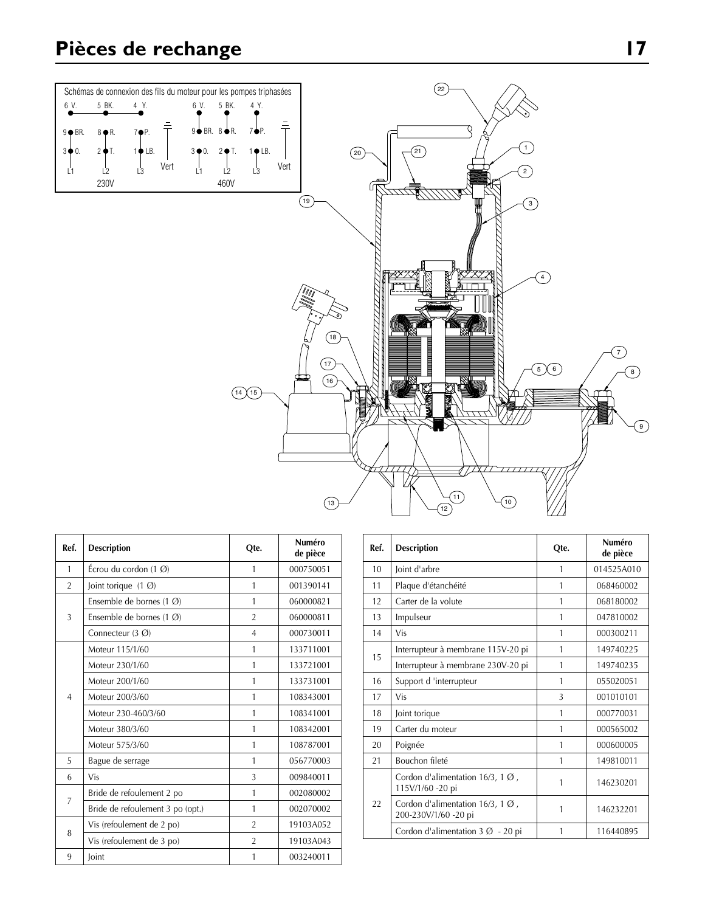# **Pièces de rechange 17**



| Ref.           | <b>Description</b>                          | Qte.           | Numéro<br>de pièce |
|----------------|---------------------------------------------|----------------|--------------------|
| $\mathbf{1}$   | Écrou du cordon $(1 \, \emptyset)$          | 1              | 000750051          |
| $\overline{2}$ | Joint torique $(1 \, \textcircled{0})$      | 1              | 001390141          |
|                | Ensemble de bornes $(1 \, \textcircled{0})$ | 1              | 060000821          |
| 3              | Ensemble de bornes $(1 \, \textcircled{0})$ | $\overline{2}$ | 060000811          |
|                | Connecteur $(3 \, \textcircled{0})$         | $\overline{4}$ | 000730011          |
|                | Moteur 115/1/60                             | 1              | 133711001          |
|                | Moteur 230/1/60                             | 1              | 133721001          |
| $\overline{4}$ | Moteur 200/1/60                             | 1              | 133731001          |
|                | Moteur 200/3/60                             | 1              | 108343001          |
|                | Moteur 230-460/3/60                         | 1              | 108341001          |
|                | Moteur 380/3/60                             | 1              | 108342001          |
|                | Moteur 575/3/60                             | 1              | 108787001          |
| 5              | Bague de serrage                            | 1              | 056770003          |
| 6              | Vis                                         | 3              | 009840011          |
| 7              | Bride de refoulement 2 po                   | 1              | 002080002          |
|                | Bride de refoulement 3 po (opt.)            | 1              | 002070002          |
|                | Vis (refoulement de 2 po)                   | $\overline{2}$ | 19103A052          |
| 8              | Vis (refoulement de 3 po)                   | $\overline{2}$ | 19103A043          |
| 9              | Joint                                       | 1              | 003240011          |

| Ref. | <b>Description</b>                                                  | Qte. | Numéro<br>de pièce |
|------|---------------------------------------------------------------------|------|--------------------|
| 10   | Joint d'arbre                                                       | 1    | 014525A010         |
| 11   | Plaque d'étanchéité                                                 | 1    | 068460002          |
| 12   | Carter de la volute                                                 | 1    | 068180002          |
| 13   | Impulseur                                                           | 1    | 047810002          |
| 14   | Vis                                                                 | 1    | 000300211          |
| 15   | Interrupteur à membrane 115V-20 pi                                  | 1    | 149740225          |
|      | Interrupteur à membrane 230V-20 pi                                  | 1    | 149740235          |
| 16   | Support d 'interrupteur                                             | 1    | 055020051          |
| 17   | Vis                                                                 | 3    | 001010101          |
| 18   | Joint torique                                                       | 1    | 000770031          |
| 19   | Carter du moteur                                                    | 1    | 000565002          |
| 20   | Poignée                                                             | 1    | 000600005          |
| 21   | Bouchon fileté                                                      | 1    | 149810011          |
| 22   | Cordon d'alimentation 16/3, 1 $\emptyset$ ,<br>115V/1/60 -20 pi     | 1    | 146230201          |
|      | Cordon d'alimentation 16/3, 1 $\emptyset$ ,<br>200-230V/1/60 -20 pi | 1    | 146232201          |
|      | Cordon d'alimentation $3 \varnothing - 20$ pi                       | 1    | 116440895          |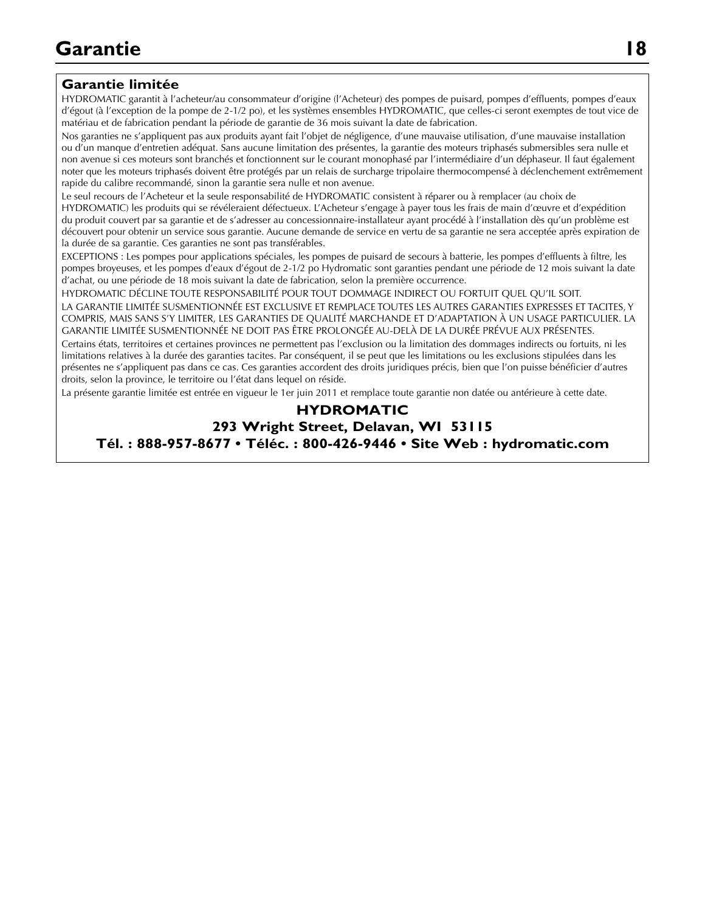### **Garantie limitée**

HYDROMATIC garantit à l'acheteur/au consommateur d'origine (l'Acheteur) des pompes de puisard, pompes d'effluents, pompes d'eaux d'égout (à l'exception de la pompe de 2-1/2 po), et les systèmes ensembles HYDROMATIC, que celles-ci seront exemptes de tout vice de matériau et de fabrication pendant la période de garantie de 36 mois suivant la date de fabrication.

noter que les moteurs foint branches et lonctionnent san le courant monophase par innermediane d'un deprasedit made galement<br>noter que les moteurs triphasés doivent être protégés par un relais de surcharge tripolaire therm Nos garanties ne s'appliquent pas aux produits ayant fait l'objet de négligence, d'une mauvaise utilisation, d'une mauvaise installation ou d'un manque d'entretien adéquat. Sans aucune limitation des présentes, la garantie des moteurs triphasés submersibles sera nulle et non avenue si ces moteurs sont branchés et fonctionnent sur le courant monophasé par l'intermédiaire d'un déphaseur. Il faut également rapide du calibre recommandé, sinon la garantie sera nulle et non avenue.

Le seul recours de l'Acheteur et la seule responsabilité de HYDROMATIC consistent à réparer ou à remplacer (au choix de HYDROMATIC) les produits qui se révéleraient défectueux. L'Acheteur s'engage à payer tous les frais de main d'œuvre et d'expédition du produit couvert par sa garantie et de s'adresser au concessionnaire-installateur ayant procédé à l'installation dès qu'un problème est découvert pour obtenir un service sous garantie. Aucune demande de service en vertu de sa garantie ne sera acceptée après expiration de la durée de sa garantie. Ces garanties ne sont pas transférables.

EXCEPTIONS : Les pompes pour applications spéciales, les pompes de puisard de secours à batterie, les pompes d'effluents à filtre, les pompes broyeuses, et les pompes d'eaux d'égout de 2-1/2 po Hydromatic sont garanties pendant une période de 12 mois suivant la date d'achat, ou une période de 18 mois suivant la date de fabrication, selon la première occurrence.

HYDROMATIC DÉCLINE TOUTE RESPONSABILITÉ POUR TOUT DOMMAGE INDIRECT OU FORTUIT QUEL QU'IL SOIT. LA GARANTIE LIMITÉE SUSMENTIONNÉE EST EXCLUSIVE ET REMPLACE TOUTES LES AUTRES GARANTIES EXPRESSES ET TACITES, Y COMPRIS, MAIS SANS S'Y LIMITER, LES GARANTIES DE QUALITÉ MARCHANDE ET D'ADA PTATION À UN USAGE PARTICULIER. LA GARANTIE LIMITÉE SUSMENTIONNÉE NE DOIT PAS ÊTRE PROLONGÉE AU-DELÀ DE LA DURÉE PRÉVUE AUX PRÉSENTES.

Certains états, territoires et certaines provinces ne permettent pas l'exclusion ou la limitation des dommages indirects ou fortuits, ni les limitations relatives à la durée des garanties tacites. Par conséquent, il se peut que les limitations ou les exclusions stipulées dans les présentes ne s'appliquent pas dans ce cas. Ces garanties accordent des droits juridiques précis, bien que l'on puisse bénéficier d'autres droits, selon la province, le territoire ou l'état dans lequel on réside.

La présente garantie limitée est entrée en vigueur le 1er juin 2011 et remplace toute garantie non datée ou antérieure à cette date.

### **HYDROMATIC**

**293 Wright Street, Delavan, WI 53115 Tél. : 888-957-8677 • Téléc. : 800-426-9446 • Site Web : hydromatic.com**